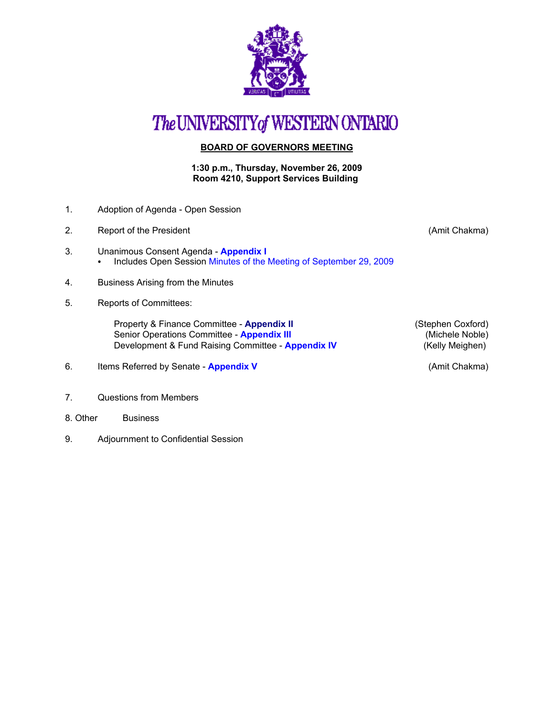

# The UNIVERSITY of WESTERN ONTARIO

## **BOARD OF GOVERNORS MEETING**

#### **1:30 p.m., Thursday, November 26, 2009 Room 4210, Support Services Building**

- 1. Adoption of Agenda Open Session
- 2. Report of the President **Contract Contract Contract Contract Contract Contract Contract Contract Contract Contract Contract Contract Contract Contract Contract Contract Contract Contract Contract Contract Contract Contr**
- 3. Unanimous Consent Agenda **[Appendix I](http://www.uwo.ca/univsec/board/minutes/2009/r0911consent.pdf)**  • [Includes Open Session Minutes of the Meeting of September 29, 2009](http://www.uwo.ca/univsec/board/minutes/2009/m0909bg.pdf)
- 4. Business Arising from the Minutes
- 5. Reports of Committees:

Property & Finance Committee - **[Appendix II](http://www.uwo.ca/univsec/board/minutes/2009/r0911pf.pdf)** (Stephen Coxford)<br>
Senior Operations Committee - **Appendix III** (Michele Noble) Senior Operations Committee - **[Appendix III](http://www.uwo.ca/univsec/board/minutes/2009/r0911srops.pdf)** (Michele Noble)<br>Development & Fund Raising Committee - **Appendix IV** (Kelly Meighen) Development & Fund Raising Committee - **[Appendix IV](http://www.uwo.ca/univsec/board/minutes/2009/r0911dfr.pdf)** 

- 6. Items Referred by Senate **[Appendix V](http://www.uwo.ca/univsec/board/minutes/2009/r0911sen.pdf)** (Amit Chakma)
- 7. Questions from Members
- 8. Other Business
- 9. Adjournment to Confidential Session